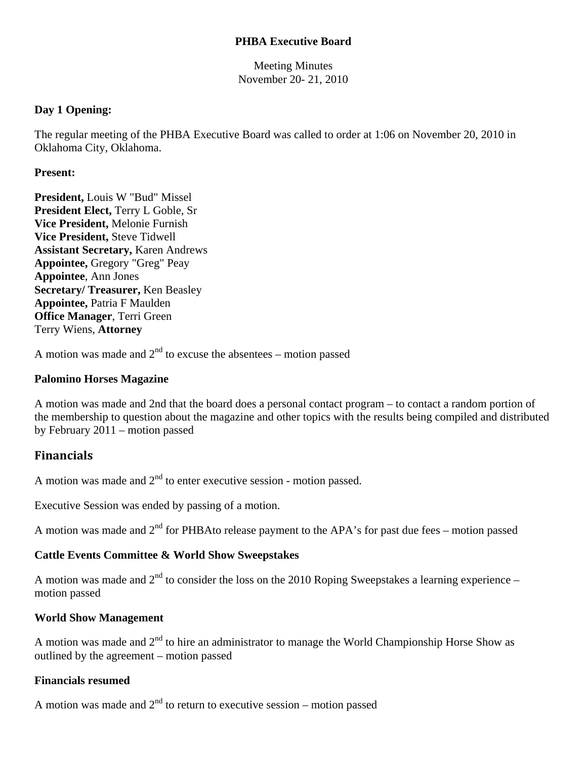# **PHBA Executive Board**

Meeting Minutes November 20- 21, 2010

## **Day 1 Opening:**

The regular meeting of the PHBA Executive Board was called to order at 1:06 on November 20, 2010 in Oklahoma City, Oklahoma.

#### **Present:**

**President,** Louis W "Bud" Missel **President Elect,** Terry L Goble, Sr **Vice President,** Melonie Furnish **Vice President,** Steve Tidwell **Assistant Secretary,** Karen Andrews **Appointee,** Gregory "Greg" Peay **Appointee**, Ann Jones **Secretary/ Treasurer,** Ken Beasley **Appointee,** Patria F Maulden **Office Manager**, Terri Green Terry Wiens, **Attorney**

A motion was made and  $2<sup>nd</sup>$  to excuse the absentees – motion passed

## **Palomino Horses Magazine**

A motion was made and 2nd that the board does a personal contact program – to contact a random portion of the membership to question about the magazine and other topics with the results being compiled and distributed by February 2011 – motion passed

# **Financials**

A motion was made and  $2<sup>nd</sup>$  to enter executive session - motion passed.

Executive Session was ended by passing of a motion.

A motion was made and  $2<sup>nd</sup>$  for PHBAto release payment to the APA's for past due fees – motion passed

## **Cattle Events Committee & World Show Sweepstakes**

A motion was made and  $2<sup>nd</sup>$  to consider the loss on the 2010 Roping Sweepstakes a learning experience – motion passed

## **World Show Management**

A motion was made and  $2<sup>nd</sup>$  to hire an administrator to manage the World Championship Horse Show as outlined by the agreement – motion passed

#### **Financials resumed**

A motion was made and  $2<sup>nd</sup>$  to return to executive session – motion passed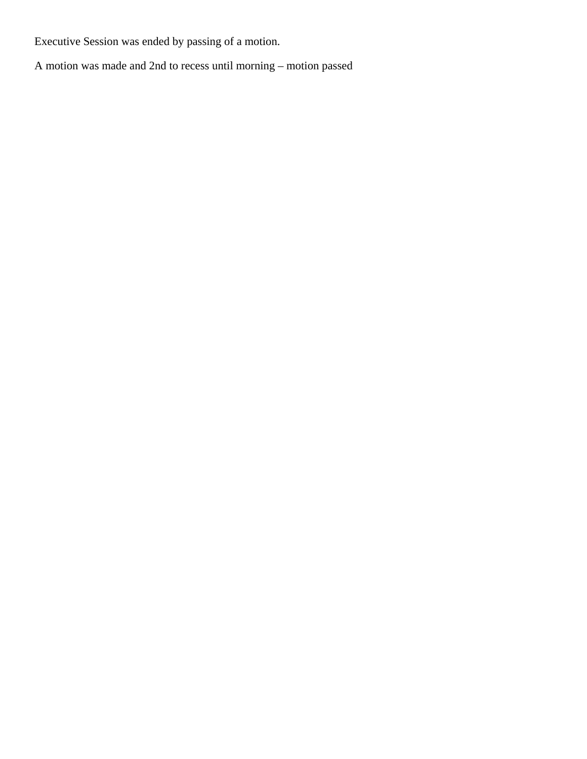Executive Session was ended by passing of a motion.

A motion was made and 2nd to recess until morning – motion passed